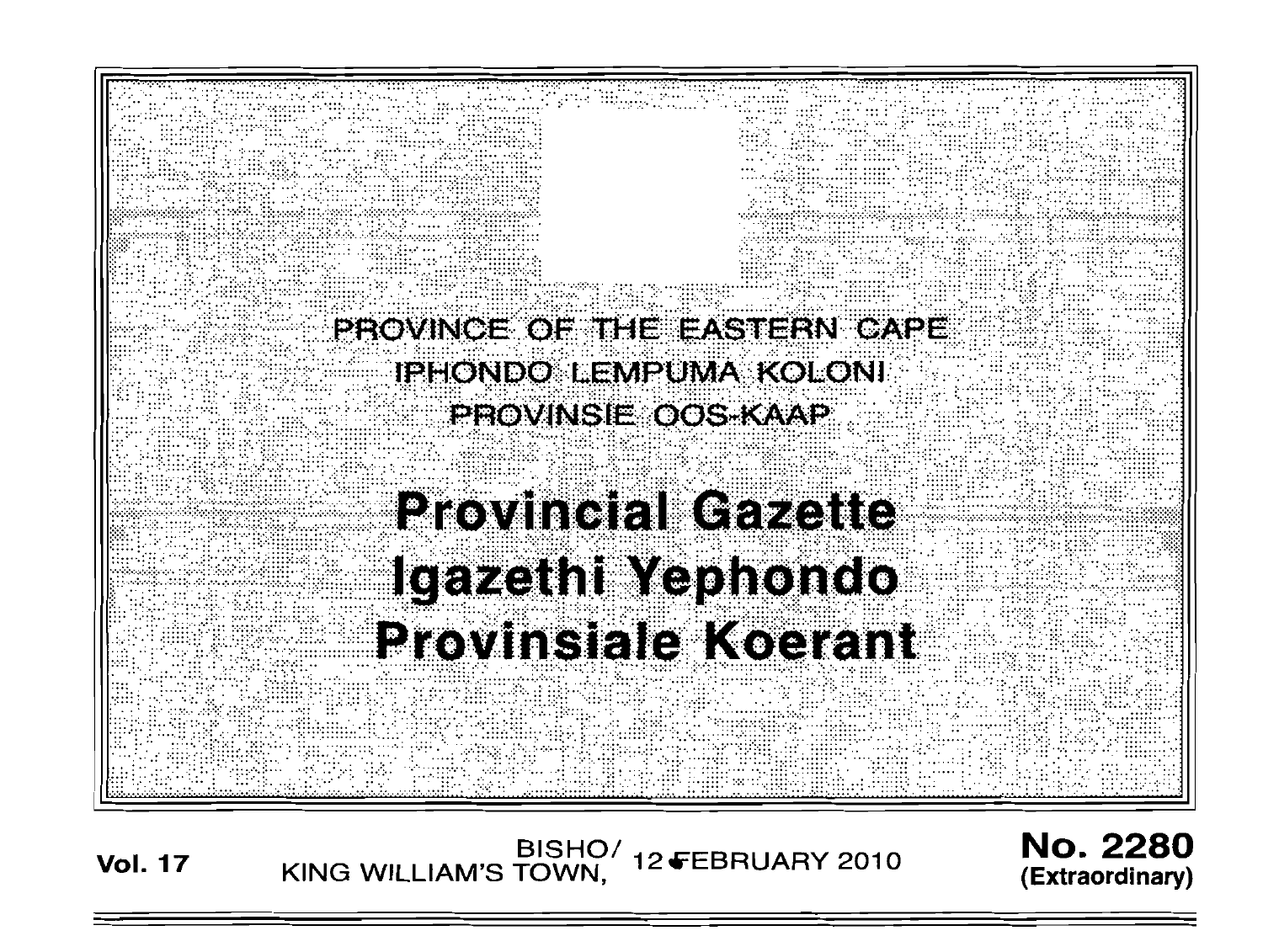

BISHO/ 12 FEBRUARY 2010<br>KING WILLIAM'S TOWN, 12 FEBRUARY 2010 **Vol. 17** 

**No. 2280** (Extraordinary)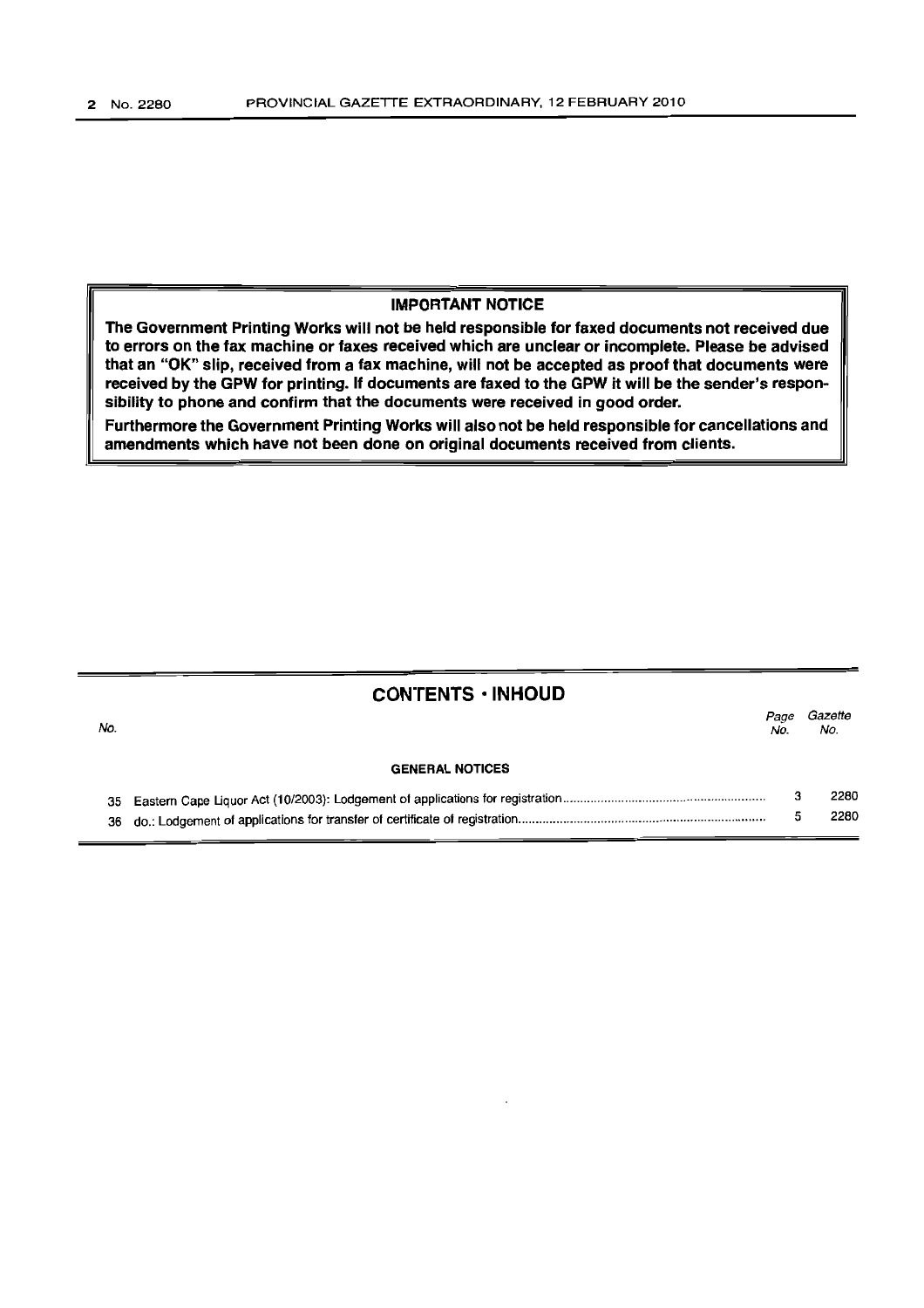## IMPORTANT NOTICE

The Government Printing Works will not be held responsible for faxed documents not received due to errors on the fax machine or faxes received which are unclear or incomplete. Please be advised that an "OK" slip, received from a fax machine, will not be accepted as proof that documents were received by the GPW for printing. If documents are faxed to the GPW it will be the sender's responsibility to phone and confirm that the documents were received in good order.

Furthermore the Government Printing Works will also not be held responsible for cancellations and amendments which have not been done on original documents received from clients.

## CONTENTS' INHOUD

| No. |                        | Page<br>No. | Gazette<br>No. |
|-----|------------------------|-------------|----------------|
|     | <b>GENERAL NOTICES</b> |             |                |
|     |                        |             | 2280           |
| 36  |                        |             | 2280           |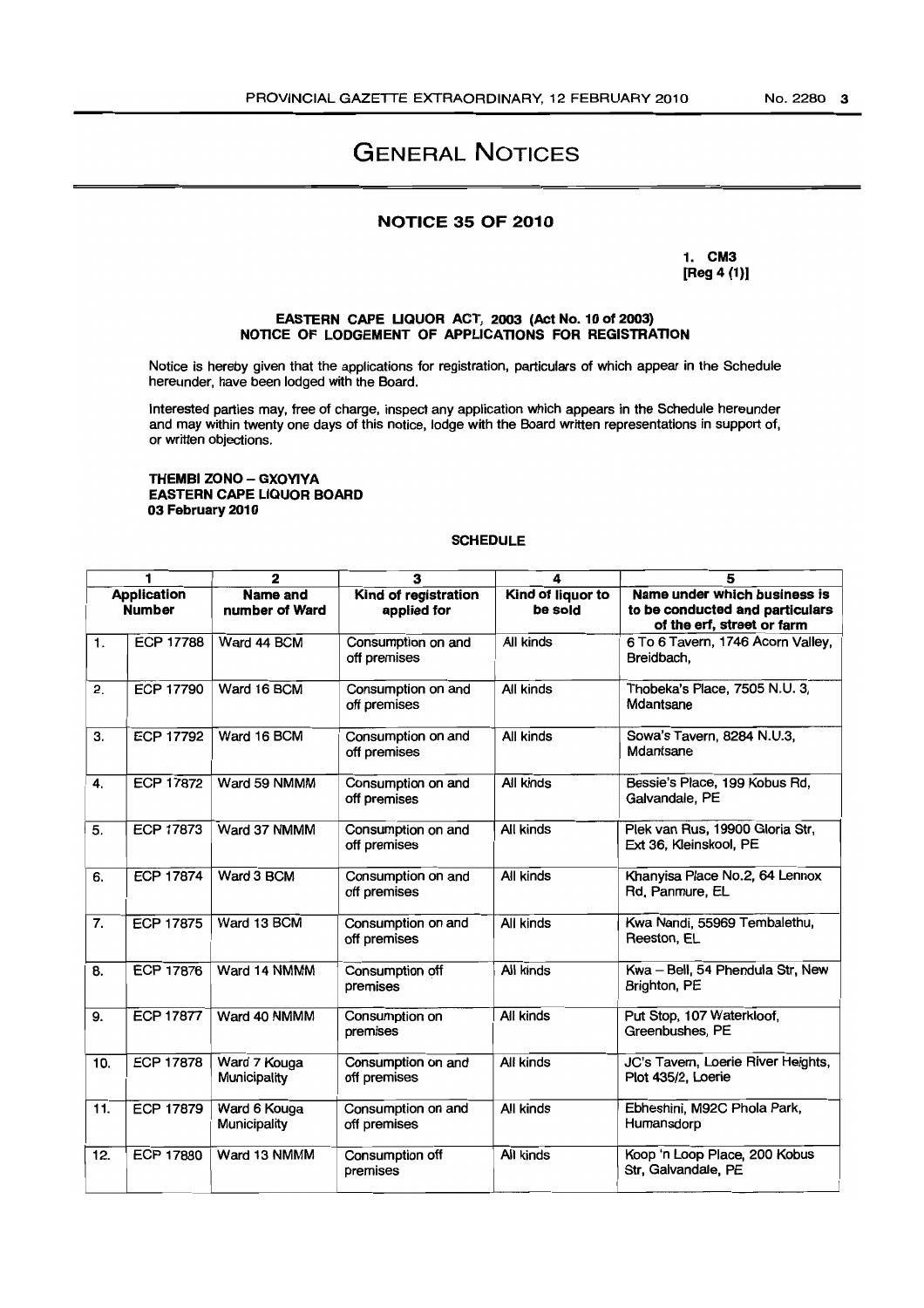# GENERAL NOTICES

## NOTICE 35 OF 2010

1. CM3 [Reg 4 (1)]

#### EASTERN CAPE UQUOR ACT, 2003 (Act No. 10 of 2003) NOTICE OF LODGEMENT OF APPLICATIONS FOR REGISTRATION

Notice is hereby given that the applications for registration, particulars of which appear in the Schedule hereunder, have been lodged with the Board.

Interested parties may, free of charge, inspect any application which appears in the Schedule hereunder and may within twenty one days of this notice, lodge with the Board written representations in support of, or written objections.

#### THEMBI ZONO - GXOYIYA EASTERN CAPE LIQUOR BOARD 03 February 2010

#### **SCHEDULE**

| 1<br>$\overline{2}$                 |                  |                                   | 3                                   | 4                            | 5                                                                                             |
|-------------------------------------|------------------|-----------------------------------|-------------------------------------|------------------------------|-----------------------------------------------------------------------------------------------|
| <b>Application</b><br><b>Number</b> |                  | <b>Name and</b><br>number of Ward | Kind of registration<br>applied for | Kind of liquor to<br>be sold | Name under which business is<br>to be conducted and particulars<br>of the erf, street or farm |
| 1.                                  | <b>ECP 17788</b> | Ward 44 BCM                       | Consumption on and<br>off premises  | All kinds                    | 6 To 6 Tavern, 1746 Acorn Valley,<br>Breidbach,                                               |
| 2.                                  | <b>ECP 17790</b> | Ward 16 BCM                       | Consumption on and<br>off premises  | All kinds                    | Thobeka's Place, 7505 N.U. 3,<br>Mdantsane                                                    |
| З.                                  | <b>ECP 17792</b> | Ward 16 BCM                       | Consumption on and<br>off premises  | All kinds                    | Sowa's Tavern, 8284 N.U.3,<br>Mdantsane                                                       |
| 4.                                  | <b>ECP 17872</b> | Ward 59 NMMM                      | Consumption on and<br>off premises  | All kinds                    | Bessie's Place, 199 Kobus Rd,<br>Galvandale, PE                                               |
| 5.                                  | <b>ECP 17873</b> | Ward 37 NMMM                      | Consumption on and<br>off premises  | All kinds                    | Plek van Rus, 19900 Gloria Str,<br>Ext 36, Kleinskool, PE                                     |
| 6.                                  | <b>ECP 17874</b> | Ward 3 BCM                        | Consumption on and<br>off premises  | All kinds                    | Khanyisa Place No.2, 64 Lennox<br>Rd, Panmure, EL                                             |
| 7.                                  | <b>ECP 17875</b> | Ward 13 BCM                       | Consumption on and<br>off premises  | All kinds                    | Kwa Nandi, 55969 Tembalethu,<br>Reeston, EL                                                   |
| 8.                                  | <b>ECP 17876</b> | Ward 14 NMMM                      | Consumption off<br>premises         | All kinds                    | Kwa - Bell, 54 Phendula Str, New<br>Brighton, PE                                              |
| 9.                                  | <b>ECP 17877</b> | Ward 40 NMMM                      | Consumption on<br>premises          | All kinds                    | Put Stop, 107 Waterkloof,<br>Greenbushes, PE                                                  |
| 10.                                 | <b>ECP 17878</b> | Ward 7 Kouga<br>Municipality      | Consumption on and<br>off premises  | All kinds                    | JC's Tavern, Loerie River Heights,<br>Plot 435/2, Loerie                                      |
| 11.                                 | <b>ECP 17879</b> | Ward 6 Kouga<br>Municipality      | Consumption on and<br>off premises  | All kinds                    | Ebheshini, M92C Phola Park,<br>Humansdorp                                                     |
| 12.                                 | <b>ECP 17880</b> | Ward 13 NMMM                      | Consumption off<br>premises         | All kinds                    | Koop 'n Loop Place, 200 Kobus<br>Str, Galvandale, PE                                          |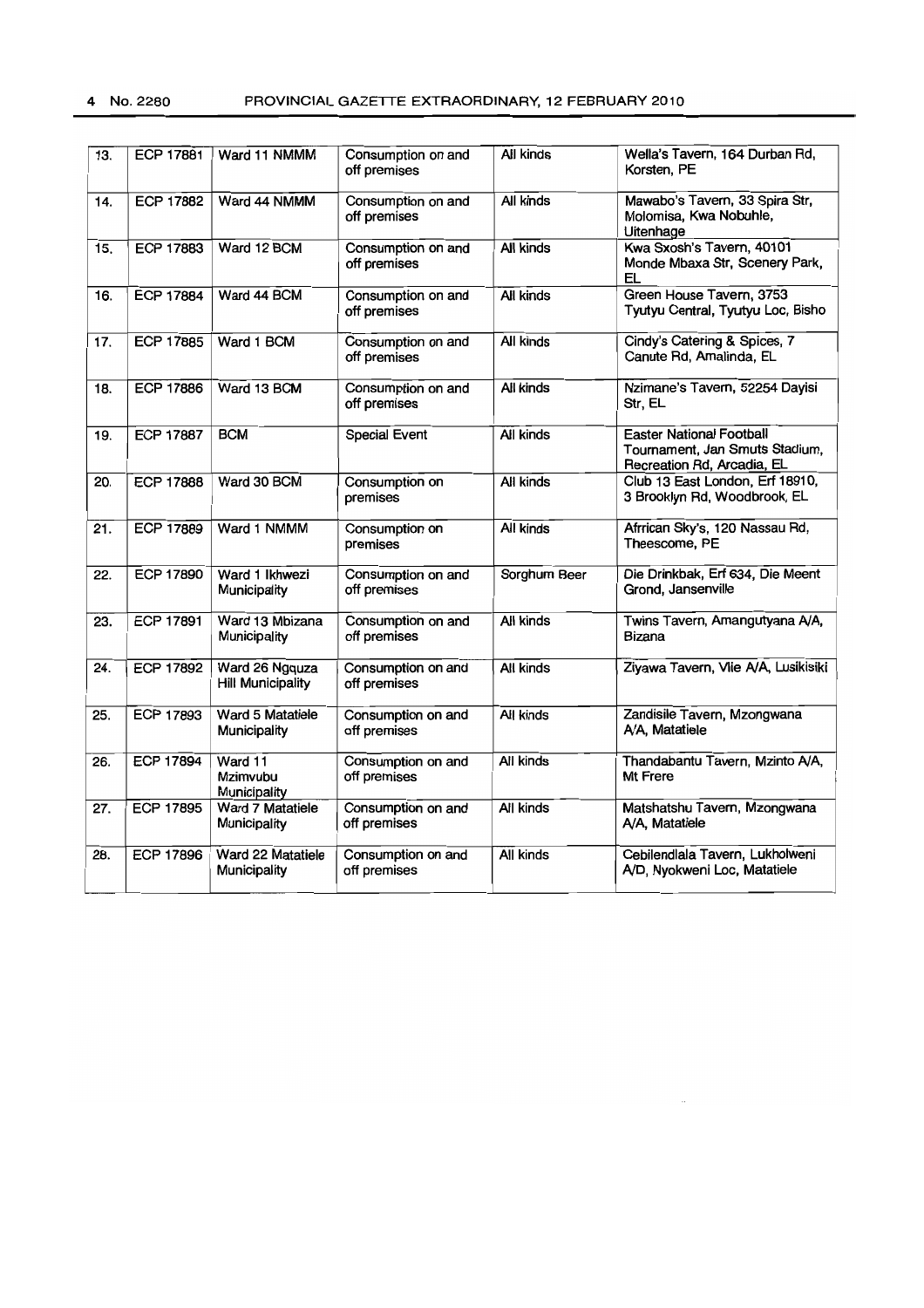| 13. | <b>ECP 17881</b> | Ward 11 NMMM                               | Consumption on and<br>off premises | All kinds        | Wella's Tavern, 164 Durban Rd,<br>Korsten, PE                                                   |
|-----|------------------|--------------------------------------------|------------------------------------|------------------|-------------------------------------------------------------------------------------------------|
| 14. | <b>ECP 17882</b> | Ward 44 NMMM                               | Consumption on and<br>off premises | All kinds        | Mawabo's Tavern, 33 Spira Str,<br>Molomisa, Kwa Nobuhle,<br>Uitenhage                           |
| 15. | ECP 17883        | Ward 12 BCM                                | Consumption on and<br>off premises | All kinds        | Kwa Sxosh's Tavern, 40101<br>Monde Mbaxa Str, Scenery Park,<br>EL                               |
| 16. | <b>ECP 17884</b> | Ward 44 BCM                                | Consumption on and<br>off premises | All kinds        | Green House Tavern, 3753<br>Tyutyu Central, Tyutyu Loc, Bisho                                   |
| 17. | <b>ECP 17885</b> | Ward 1 BCM                                 | Consumption on and<br>off premises | All kinds        | Cindy's Catering & Spices, 7<br>Canute Rd, Amalinda, EL                                         |
| 18. | <b>ECP 17886</b> | Ward 13 BCM                                | Consumption on and<br>off premises | All kinds        | Nzimane's Tavern, 52254 Dayisi<br>Str, EL                                                       |
| 19. | <b>ECP 17887</b> | <b>BCM</b>                                 | Special Event                      | All kinds        | <b>Easter National Football</b><br>Tournament, Jan Smuts Stadium,<br>Recreation Rd, Arcadia, EL |
| 20. | <b>ECP 17888</b> | Ward 30 BCM                                | Consumption on<br>premises         | All kinds        | Club 13 East London, Erf 18910,<br>3 Brooklyn Rd, Woodbrook, EL                                 |
| 21. | <b>ECP 17889</b> | Ward 1 NMMM                                | Consumption on<br>premises         | All kinds        | Afrrican Sky's, 120 Nassau Rd,<br>Theescome, PE                                                 |
| 22. | <b>ECP 17890</b> | Ward 1 Ikhwezi<br>Municipality             | Consumption on and<br>off premises | Sorghum Beer     | Die Drinkbak, Erf 634, Die Meent<br>Grond, Jansenville                                          |
| 23. | <b>ECP 17891</b> | Ward 13 Mbizana<br>Municipality            | Consumption on and<br>off premises | All kinds        | Twins Tavern, Amangutyana A/A,<br>Bizana                                                        |
| 24. | <b>ECP 17892</b> | Ward 26 Ngquza<br><b>Hill Municipality</b> | Consumption on and<br>off premises | All kinds        | Ziyawa Tavern, Vlie A/A, Lusikisiki                                                             |
| 25. | <b>ECP 17893</b> | Ward 5 Matatiele<br>Municipality           | Consumption on and<br>off premises | <b>All kinds</b> | Zandisile Tavern, Mzongwana<br>A/A, Matatiele                                                   |
| 26. | <b>ECP 17894</b> | Ward 11<br>Mzimvubu<br>Municipality        | Consumption on and<br>off premises | All kinds        | Thandabantu Tavern, Mzinto A/A,<br>Mt Frere                                                     |
| 27. | <b>ECP 17895</b> | Ward 7 Matatiele<br>Municipality           | Consumption on and<br>off premises | <b>All kinds</b> | Matshatshu Tavern, Mzongwana<br>A/A, Matatiele                                                  |
| 28. | <b>ECP 17896</b> | Ward 22 Matatiele<br>Municipality          | Consumption on and<br>off premises | All kinds        | Cebilendiala Tavern, Lukholweni<br>A/D, Nyokweni Loc, Matatiele                                 |